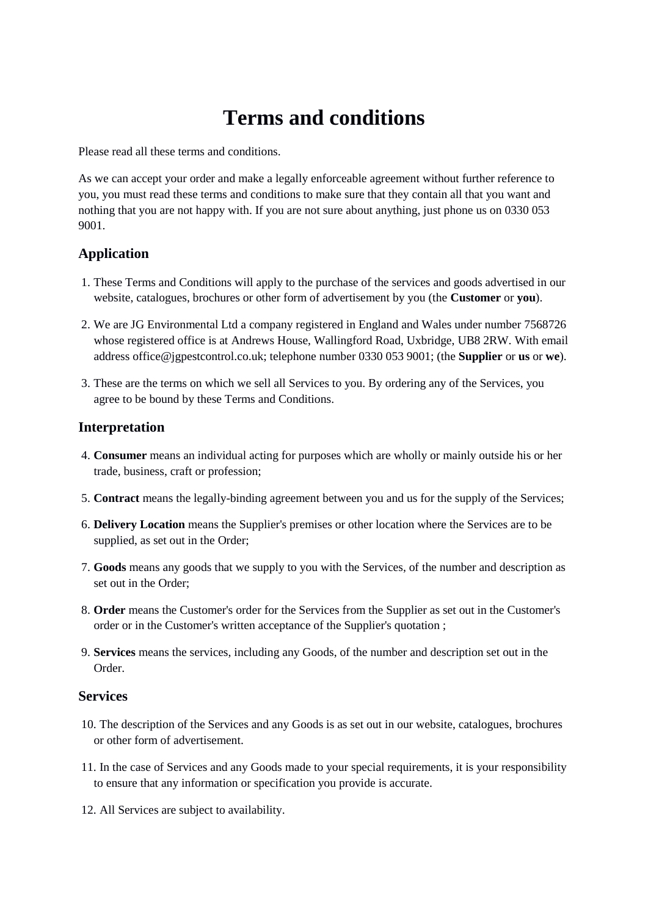# **Terms and conditions**

Please read all these terms and conditions.

As we can accept your order and make a legally enforceable agreement without further reference to you, you must read these terms and conditions to make sure that they contain all that you want and nothing that you are not happy with. If you are not sure about anything, just phone us on 0330 053 9001.

# **Application**

- 1. These Terms and Conditions will apply to the purchase of the services and goods advertised in our website, catalogues, brochures or other form of advertisement by you (the **Customer** or **you**).
- 2. We are JG Environmental Ltd a company registered in England and Wales under number 7568726 whose registered office is at Andrews House, Wallingford Road, Uxbridge, UB8 2RW. With email address office@jgpestcontrol.co.uk; telephone number 0330 053 9001; (the **Supplier** or **us** or **we**).
- 3. These are the terms on which we sell all Services to you. By ordering any of the Services, you agree to be bound by these Terms and Conditions.

## **Interpretation**

- 4. **Consumer** means an individual acting for purposes which are wholly or mainly outside his or her trade, business, craft or profession;
- 5. **Contract** means the legally-binding agreement between you and us for the supply of the Services;
- 6. **Delivery Location** means the Supplier's premises or other location where the Services are to be supplied, as set out in the Order;
- 7. **Goods** means any goods that we supply to you with the Services, of the number and description as set out in the Order;
- 8. **Order** means the Customer's order for the Services from the Supplier as set out in the Customer's order or in the Customer's written acceptance of the Supplier's quotation ;
- 9. **Services** means the services, including any Goods, of the number and description set out in the Order.

#### **Services**

- 10. The description of the Services and any Goods is as set out in our website, catalogues, brochures or other form of advertisement.
- 11. In the case of Services and any Goods made to your special requirements, it is your responsibility to ensure that any information or specification you provide is accurate.
- 12. All Services are subject to availability.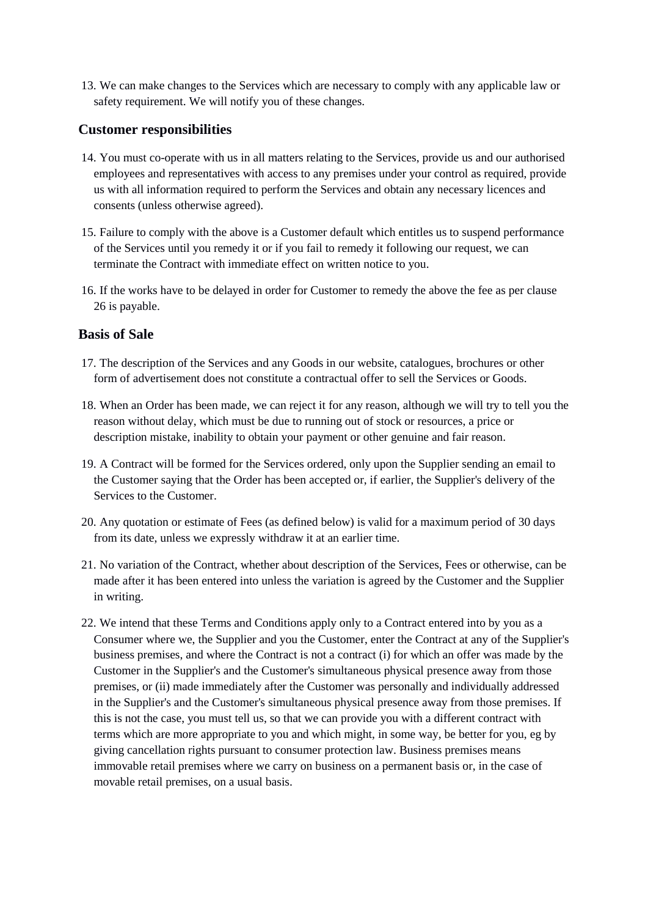13. We can make changes to the Services which are necessary to comply with any applicable law or safety requirement. We will notify you of these changes.

#### **Customer responsibilities**

- 14. You must co-operate with us in all matters relating to the Services, provide us and our authorised employees and representatives with access to any premises under your control as required, provide us with all information required to perform the Services and obtain any necessary licences and consents (unless otherwise agreed).
- 15. Failure to comply with the above is a Customer default which entitles us to suspend performance of the Services until you remedy it or if you fail to remedy it following our request, we can terminate the Contract with immediate effect on written notice to you.
- 16. If the works have to be delayed in order for Customer to remedy the above the fee as per clause 26 is payable.

#### **Basis of Sale**

- 17. The description of the Services and any Goods in our website, catalogues, brochures or other form of advertisement does not constitute a contractual offer to sell the Services or Goods.
- 18. When an Order has been made, we can reject it for any reason, although we will try to tell you the reason without delay, which must be due to running out of stock or resources, a price or description mistake, inability to obtain your payment or other genuine and fair reason.
- 19. A Contract will be formed for the Services ordered, only upon the Supplier sending an email to the Customer saying that the Order has been accepted or, if earlier, the Supplier's delivery of the Services to the Customer.
- 20. Any quotation or estimate of Fees (as defined below) is valid for a maximum period of 30 days from its date, unless we expressly withdraw it at an earlier time.
- 21. No variation of the Contract, whether about description of the Services, Fees or otherwise, can be made after it has been entered into unless the variation is agreed by the Customer and the Supplier in writing.
- 22. We intend that these Terms and Conditions apply only to a Contract entered into by you as a Consumer where we, the Supplier and you the Customer, enter the Contract at any of the Supplier's business premises, and where the Contract is not a contract (i) for which an offer was made by the Customer in the Supplier's and the Customer's simultaneous physical presence away from those premises, or (ii) made immediately after the Customer was personally and individually addressed in the Supplier's and the Customer's simultaneous physical presence away from those premises. If this is not the case, you must tell us, so that we can provide you with a different contract with terms which are more appropriate to you and which might, in some way, be better for you, eg by giving cancellation rights pursuant to consumer protection law. Business premises means immovable retail premises where we carry on business on a permanent basis or, in the case of movable retail premises, on a usual basis.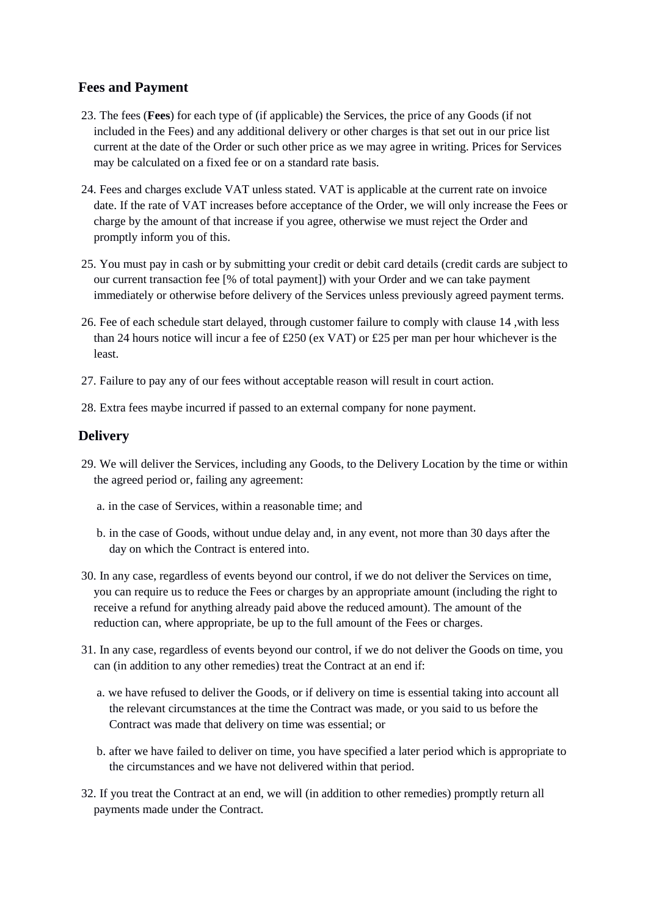# **Fees and Payment**

- 23. The fees (**Fees**) for each type of (if applicable) the Services, the price of any Goods (if not included in the Fees) and any additional delivery or other charges is that set out in our price list current at the date of the Order or such other price as we may agree in writing. Prices for Services may be calculated on a fixed fee or on a standard rate basis.
- 24. Fees and charges exclude VAT unless stated. VAT is applicable at the current rate on invoice date. If the rate of VAT increases before acceptance of the Order, we will only increase the Fees or charge by the amount of that increase if you agree, otherwise we must reject the Order and promptly inform you of this.
- 25. You must pay in cash or by submitting your credit or debit card details (credit cards are subject to our current transaction fee [% of total payment]) with your Order and we can take payment immediately or otherwise before delivery of the Services unless previously agreed payment terms.
- 26. Fee of each schedule start delayed, through customer failure to comply with clause 14 ,with less than 24 hours notice will incur a fee of £250 (ex VAT) or £25 per man per hour whichever is the least.
- 27. Failure to pay any of our fees without acceptable reason will result in court action.
- 28. Extra fees maybe incurred if passed to an external company for none payment.

## **Delivery**

- 29. We will deliver the Services, including any Goods, to the Delivery Location by the time or within the agreed period or, failing any agreement:
	- a. in the case of Services, within a reasonable time; and
	- b. in the case of Goods, without undue delay and, in any event, not more than 30 days after the day on which the Contract is entered into.
- 30. In any case, regardless of events beyond our control, if we do not deliver the Services on time, you can require us to reduce the Fees or charges by an appropriate amount (including the right to receive a refund for anything already paid above the reduced amount). The amount of the reduction can, where appropriate, be up to the full amount of the Fees or charges.
- 31. In any case, regardless of events beyond our control, if we do not deliver the Goods on time, you can (in addition to any other remedies) treat the Contract at an end if:
	- a. we have refused to deliver the Goods, or if delivery on time is essential taking into account all the relevant circumstances at the time the Contract was made, or you said to us before the Contract was made that delivery on time was essential; or
	- b. after we have failed to deliver on time, you have specified a later period which is appropriate to the circumstances and we have not delivered within that period.
- 32. If you treat the Contract at an end, we will (in addition to other remedies) promptly return all payments made under the Contract.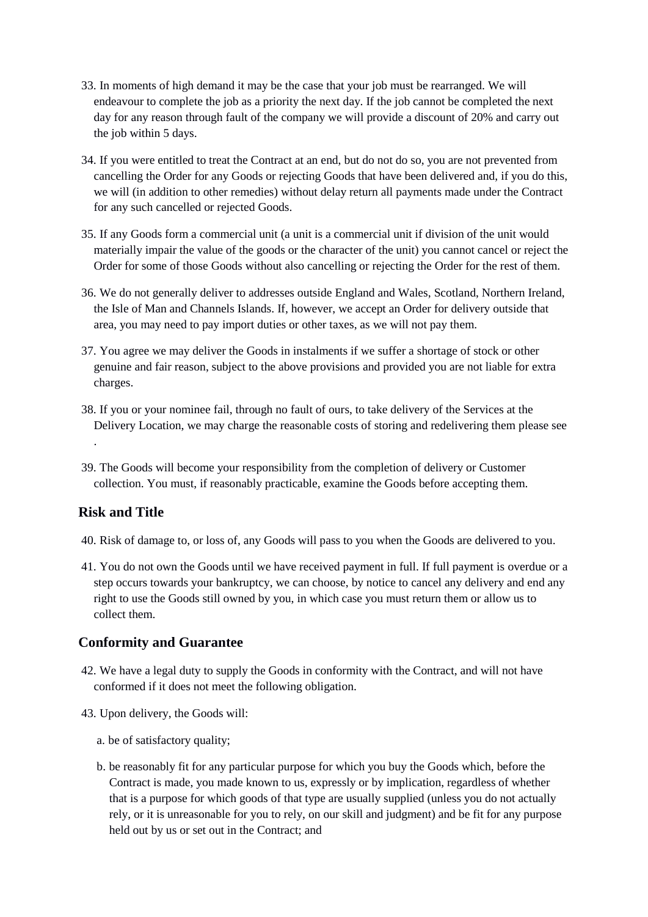- 33. In moments of high demand it may be the case that your job must be rearranged. We will endeavour to complete the job as a priority the next day. If the job cannot be completed the next day for any reason through fault of the company we will provide a discount of 20% and carry out the job within 5 days.
- 34. If you were entitled to treat the Contract at an end, but do not do so, you are not prevented from cancelling the Order for any Goods or rejecting Goods that have been delivered and, if you do this, we will (in addition to other remedies) without delay return all payments made under the Contract for any such cancelled or rejected Goods.
- 35. If any Goods form a commercial unit (a unit is a commercial unit if division of the unit would materially impair the value of the goods or the character of the unit) you cannot cancel or reject the Order for some of those Goods without also cancelling or rejecting the Order for the rest of them.
- 36. We do not generally deliver to addresses outside England and Wales, Scotland, Northern Ireland, the Isle of Man and Channels Islands. If, however, we accept an Order for delivery outside that area, you may need to pay import duties or other taxes, as we will not pay them.
- 37. You agree we may deliver the Goods in instalments if we suffer a shortage of stock or other genuine and fair reason, subject to the above provisions and provided you are not liable for extra charges.
- 38. If you or your nominee fail, through no fault of ours, to take delivery of the Services at the Delivery Location, we may charge the reasonable costs of storing and redelivering them please see .
- 39. The Goods will become your responsibility from the completion of delivery or Customer collection. You must, if reasonably practicable, examine the Goods before accepting them.

## **Risk and Title**

- 40. Risk of damage to, or loss of, any Goods will pass to you when the Goods are delivered to you.
- 41. You do not own the Goods until we have received payment in full. If full payment is overdue or a step occurs towards your bankruptcy, we can choose, by notice to cancel any delivery and end any right to use the Goods still owned by you, in which case you must return them or allow us to collect them.

## **Conformity and Guarantee**

- 42. We have a legal duty to supply the Goods in conformity with the Contract, and will not have conformed if it does not meet the following obligation.
- 43. Upon delivery, the Goods will:
	- a. be of satisfactory quality;
	- b. be reasonably fit for any particular purpose for which you buy the Goods which, before the Contract is made, you made known to us, expressly or by implication, regardless of whether that is a purpose for which goods of that type are usually supplied (unless you do not actually rely, or it is unreasonable for you to rely, on our skill and judgment) and be fit for any purpose held out by us or set out in the Contract; and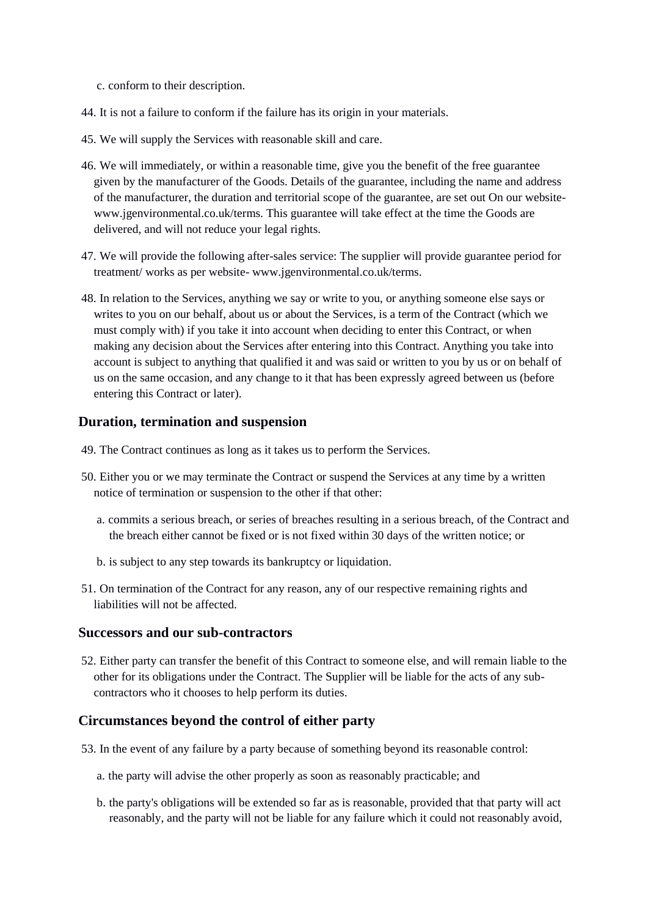- c. conform to their description.
- 44. It is not a failure to conform if the failure has its origin in your materials.
- 45. We will supply the Services with reasonable skill and care.
- 46. We will immediately, or within a reasonable time, give you the benefit of the free guarantee given by the manufacturer of the Goods. Details of the guarantee, including the name and address of the manufacturer, the duration and territorial scope of the guarantee, are set out On our websitewww.jgenvironmental.co.uk/terms. This guarantee will take effect at the time the Goods are delivered, and will not reduce your legal rights.
- 47. We will provide the following after-sales service: The supplier will provide guarantee period for treatment/ works as per website- www.jgenvironmental.co.uk/terms.
- 48. In relation to the Services, anything we say or write to you, or anything someone else says or writes to you on our behalf, about us or about the Services, is a term of the Contract (which we must comply with) if you take it into account when deciding to enter this Contract, or when making any decision about the Services after entering into this Contract. Anything you take into account is subject to anything that qualified it and was said or written to you by us or on behalf of us on the same occasion, and any change to it that has been expressly agreed between us (before entering this Contract or later).

#### **Duration, termination and suspension**

- 49. The Contract continues as long as it takes us to perform the Services.
- 50. Either you or we may terminate the Contract or suspend the Services at any time by a written notice of termination or suspension to the other if that other:
	- a. commits a serious breach, or series of breaches resulting in a serious breach, of the Contract and the breach either cannot be fixed or is not fixed within 30 days of the written notice; or
	- b. is subject to any step towards its bankruptcy or liquidation.
- 51. On termination of the Contract for any reason, any of our respective remaining rights and liabilities will not be affected.

#### **Successors and our sub-contractors**

52. Either party can transfer the benefit of this Contract to someone else, and will remain liable to the other for its obligations under the Contract. The Supplier will be liable for the acts of any subcontractors who it chooses to help perform its duties.

#### **Circumstances beyond the control of either party**

- 53. In the event of any failure by a party because of something beyond its reasonable control:
	- a. the party will advise the other properly as soon as reasonably practicable; and
	- b. the party's obligations will be extended so far as is reasonable, provided that that party will act reasonably, and the party will not be liable for any failure which it could not reasonably avoid,